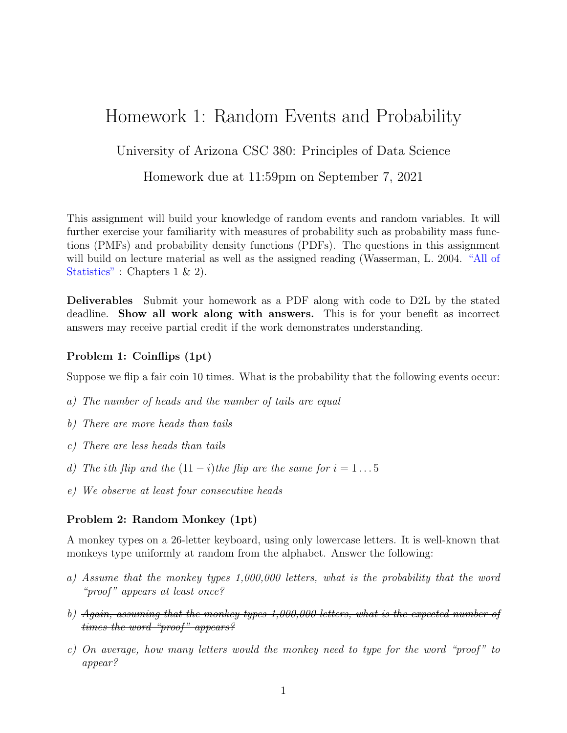# Homework 1: Random Events and Probability

University of Arizona CSC 380: Principles of Data Science

Homework due at 11:59pm on September 7, 2021

This assignment will build your knowledge of random events and random variables. It will further exercise your familiarity with measures of probability such as probability mass functions (PMFs) and probability density functions (PDFs). The questions in this assignment will build on lecture material as well as the assigned reading (Wasserman, L. 2004. ["All of](https://link.springer.com/book/10.1007/978-0-387-21736-9) [Statistics"](https://link.springer.com/book/10.1007/978-0-387-21736-9) : Chapters 1 & 2).

Deliverables Submit your homework as a PDF along with code to D2L by the stated deadline. Show all work along with answers. This is for your benefit as incorrect answers may receive partial credit if the work demonstrates understanding.

### Problem 1: Coinflips (1pt)

Suppose we flip a fair coin 10 times. What is the probability that the following events occur:

- a) The number of heads and the number of tails are equal
- b) There are more heads than tails
- c) There are less heads than tails
- d) The ith flip and the  $(11 i)$ the flip are the same for  $i = 1 \dots 5$
- e) We observe at least four consecutive heads

#### Problem 2: Random Monkey (1pt)

A monkey types on a 26-letter keyboard, using only lowercase letters. It is well-known that monkeys type uniformly at random from the alphabet. Answer the following:

- a) Assume that the monkey types 1,000,000 letters, what is the probability that the word "proof" appears at least once?
- b) Again, assuming that the monkey types  $1,000,000$  letters, what is the expected number of times the word "proof" appears?
- c) On average, how many letters would the monkey need to type for the word "proof" to appear?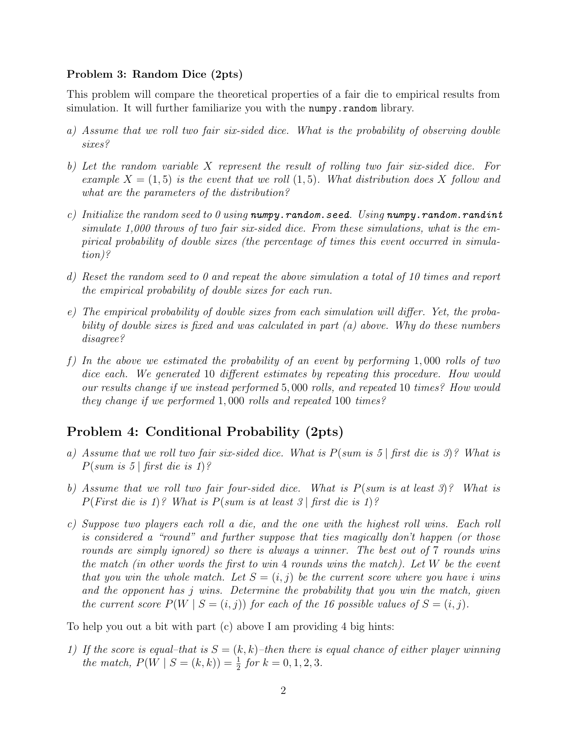#### Problem 3: Random Dice (2pts)

This problem will compare the theoretical properties of a fair die to empirical results from simulation. It will further familiarize you with the numpy.random library.

- a) Assume that we roll two fair six-sided dice. What is the probability of observing double sixes?
- b) Let the random variable X represent the result of rolling two fair six-sided dice. For example  $X = (1, 5)$  is the event that we roll  $(1, 5)$ . What distribution does X follow and what are the parameters of the distribution?
- c) Initialize the random seed to 0 using numpy.random.seed. Using numpy.random.randint simulate 1,000 throws of two fair six-sided dice. From these simulations, what is the empirical probability of double sixes (the percentage of times this event occurred in simulation)?
- d) Reset the random seed to 0 and repeat the above simulation a total of 10 times and report the empirical probability of double sixes for each run.
- e) The empirical probability of double sixes from each simulation will differ. Yet, the probability of double sixes is fixed and was calculated in part (a) above. Why do these numbers disagree?
- f) In the above we estimated the probability of an event by performing  $1,000$  rolls of two dice each. We generated 10 different estimates by repeating this procedure. How would our results change if we instead performed 5, 000 rolls, and repeated 10 times? How would they change if we performed 1, 000 rolls and repeated 100 times?

## Problem 4: Conditional Probability (2pts)

- a) Assume that we roll two fair six-sided dice. What is  $P(\text{sum is 5} | \text{first die is 3})$ ? What is  $P(sum \; is \; 5 \; | \; first \; die \; is \; 1)?$
- b) Assume that we roll two fair four-sided dice. What is  $P(\text{sum is at least 3})$ ? What is  $P(First die is 1)?$  What is  $P(sum is at least 3) first die is 1)?$
- c) Suppose two players each roll a die, and the one with the highest roll wins. Each roll is considered a "round" and further suppose that ties magically don't happen (or those rounds are simply ignored) so there is always a winner. The best out of 7 rounds wins the match (in other words the first to win 4 rounds wins the match). Let W be the event that you win the whole match. Let  $S = (i, j)$  be the current score where you have i wins and the opponent has j wins. Determine the probability that you win the match, given the current score  $P(W \mid S = (i, j))$  for each of the 16 possible values of  $S = (i, j)$ .

To help you out a bit with part (c) above I am providing 4 big hints:

1) If the score is equal–that is  $S = (k, k)$ –then there is equal chance of either player winning the match,  $P(W \mid S = (k, k)) = \frac{1}{2}$  for  $k = 0, 1, 2, 3$ .